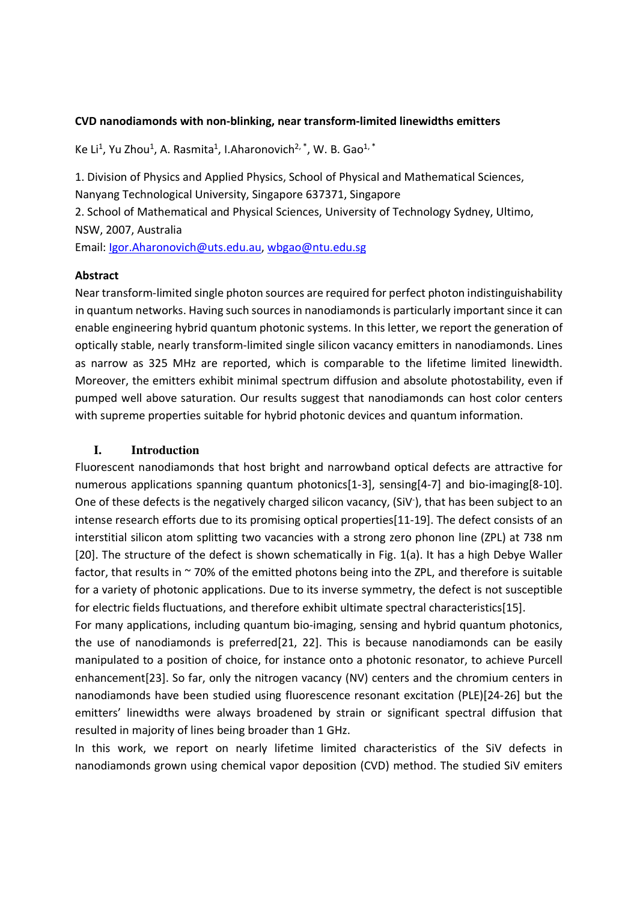## CVD nanodiamonds with non-blinking, near transform-limited linewidths emitters

Ke Li<sup>1</sup>, Yu Zhou<sup>1</sup>, A. Rasmita<sup>1</sup>, I.Aharonovich<sup>2, \*</sup>, W. B. Gao<sup>1, \*</sup>

1. Division of Physics and Applied Physics, School of Physical and Mathematical Sciences, Nanyang Technological University, Singapore 637371, Singapore 2. School of Mathematical and Physical Sciences, University of Technology Sydney, Ultimo,

NSW, 2007, Australia

Email: Igor.Aharonovich@uts.edu.au, wbgao@ntu.edu.sg

### Abstract

Near transform-limited single photon sources are required for perfect photon indistinguishability in quantum networks. Having such sources in nanodiamonds is particularly important since it can enable engineering hybrid quantum photonic systems. In this letter, we report the generation of optically stable, nearly transform-limited single silicon vacancy emitters in nanodiamonds. Lines as narrow as 325 MHz are reported, which is comparable to the lifetime limited linewidth. Moreover, the emitters exhibit minimal spectrum diffusion and absolute photostability, even if pumped well above saturation. Our results suggest that nanodiamonds can host color centers with supreme properties suitable for hybrid photonic devices and quantum information.

### **I. Introduction**

Fluorescent nanodiamonds that host bright and narrowband optical defects are attractive for numerous applications spanning quantum photonics[1-3], sensing[4-7] and bio-imaging[8-10]. One of these defects is the negatively charged silicon vacancy, (SiV<sup>-</sup>), that has been subject to an intense research efforts due to its promising optical properties[11-19]. The defect consists of an interstitial silicon atom splitting two vacancies with a strong zero phonon line (ZPL) at 738 nm [20]. The structure of the defect is shown schematically in Fig. 1(a). It has a high Debye Waller factor, that results in  $\sim$  70% of the emitted photons being into the ZPL, and therefore is suitable for a variety of photonic applications. Due to its inverse symmetry, the defect is not susceptible for electric fields fluctuations, and therefore exhibit ultimate spectral characteristics[15].

For many applications, including quantum bio-imaging, sensing and hybrid quantum photonics, the use of nanodiamonds is preferred[21, 22]. This is because nanodiamonds can be easily manipulated to a position of choice, for instance onto a photonic resonator, to achieve Purcell enhancement[23]. So far, only the nitrogen vacancy (NV) centers and the chromium centers in nanodiamonds have been studied using fluorescence resonant excitation (PLE)[24-26] but the emitters' linewidths were always broadened by strain or significant spectral diffusion that resulted in majority of lines being broader than 1 GHz.

In this work, we report on nearly lifetime limited characteristics of the SiV defects in nanodiamonds grown using chemical vapor deposition (CVD) method. The studied SiV emiters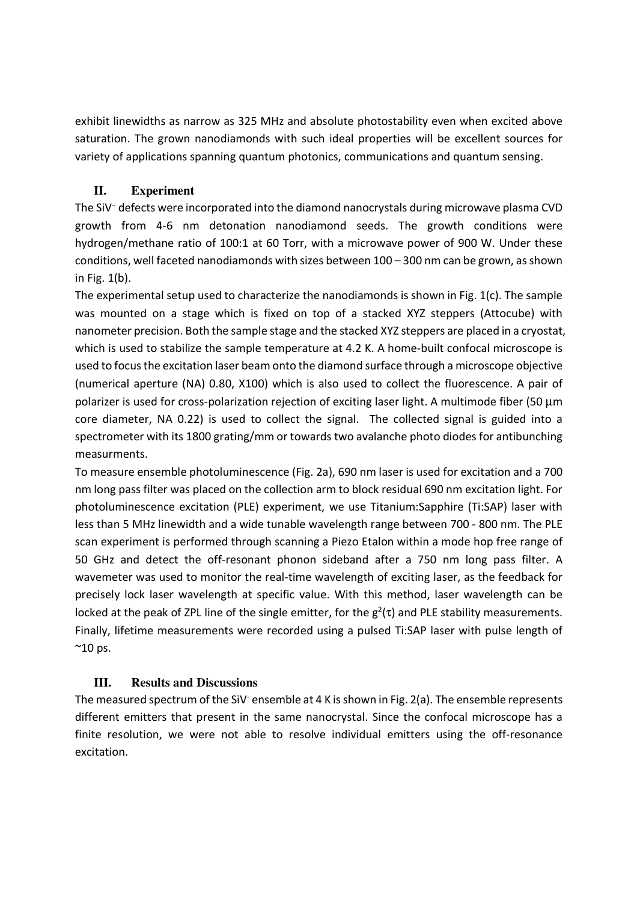exhibit linewidths as narrow as 325 MHz and absolute photostability even when excited above saturation. The grown nanodiamonds with such ideal properties will be excellent sources for variety of applications spanning quantum photonics, communications and quantum sensing.

## **II. Experiment**

The SiV<sup>−</sup> defects were incorporated into the diamond nanocrystals during microwave plasma CVD growth from 4-6 nm detonation nanodiamond seeds. The growth conditions were hydrogen/methane ratio of 100:1 at 60 Torr, with a microwave power of 900 W. Under these conditions, well faceted nanodiamonds with sizes between 100 – 300 nm can be grown, as shown in Fig. 1(b).

The experimental setup used to characterize the nanodiamonds is shown in Fig. 1(c). The sample was mounted on a stage which is fixed on top of a stacked XYZ steppers (Attocube) with nanometer precision. Both the sample stage and the stacked XYZ steppers are placed in a cryostat, which is used to stabilize the sample temperature at 4.2 K. A home-built confocal microscope is used to focus the excitation laser beam onto the diamond surface through a microscope objective (numerical aperture (NA) 0.80, X100) which is also used to collect the fluorescence. A pair of polarizer is used for cross-polarization rejection of exciting laser light. A multimode fiber (50  $\mu$ m core diameter, NA 0.22) is used to collect the signal. The collected signal is guided into a spectrometer with its 1800 grating/mm or towards two avalanche photo diodes for antibunching measurments.

To measure ensemble photoluminescence (Fig. 2a), 690 nm laser is used for excitation and a 700 nm long pass filter was placed on the collection arm to block residual 690 nm excitation light. For photoluminescence excitation (PLE) experiment, we use Titanium:Sapphire (Ti:SAP) laser with less than 5 MHz linewidth and a wide tunable wavelength range between 700 - 800 nm. The PLE scan experiment is performed through scanning a Piezo Etalon within a mode hop free range of 50 GHz and detect the off-resonant phonon sideband after a 750 nm long pass filter. A wavemeter was used to monitor the real-time wavelength of exciting laser, as the feedback for precisely lock laser wavelength at specific value. With this method, laser wavelength can be locked at the peak of ZPL line of the single emitter, for the  $g^2(\tau)$  and PLE stability measurements. Finally, lifetime measurements were recorded using a pulsed Ti:SAP laser with pulse length of  $^{\sim}$ 10 ps.

# **III. Results and Discussions**

The measured spectrum of the SiV<sup>-</sup> ensemble at 4 K is shown in Fig. 2(a). The ensemble represents different emitters that present in the same nanocrystal. Since the confocal microscope has a finite resolution, we were not able to resolve individual emitters using the off-resonance excitation.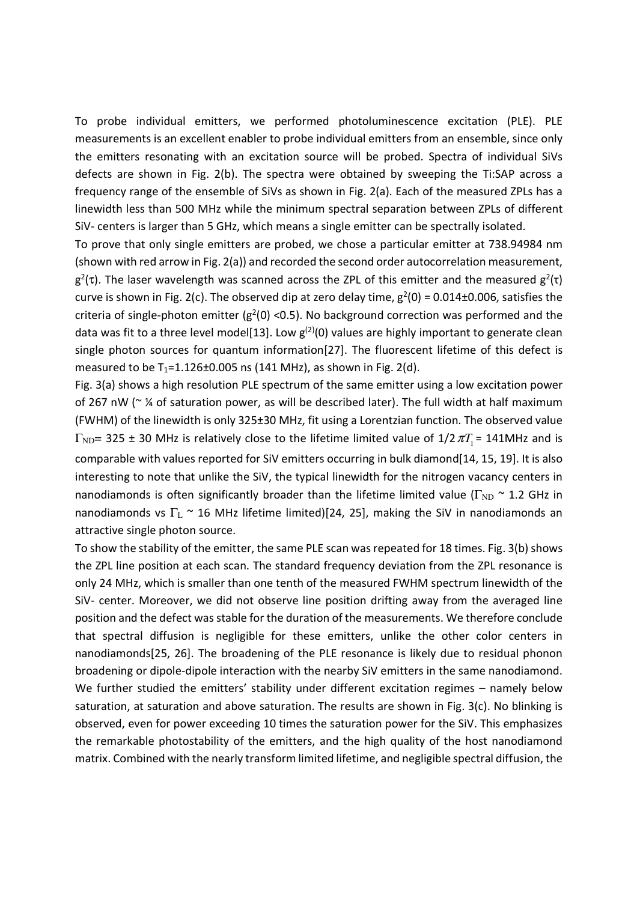To probe individual emitters, we performed photoluminescence excitation (PLE). PLE measurements is an excellent enabler to probe individual emitters from an ensemble, since only the emitters resonating with an excitation source will be probed. Spectra of individual SiVs defects are shown in Fig. 2(b). The spectra were obtained by sweeping the Ti:SAP across a frequency range of the ensemble of SiVs as shown in Fig. 2(a). Each of the measured ZPLs has a linewidth less than 500 MHz while the minimum spectral separation between ZPLs of different SiV- centers is larger than 5 GHz, which means a single emitter can be spectrally isolated.

To prove that only single emitters are probed, we chose a particular emitter at 738.94984 nm (shown with red arrow in Fig. 2(a)) and recorded the second order autocorrelation measurement,  $g^2(\tau)$ . The laser wavelength was scanned across the ZPL of this emitter and the measured  $g^2(\tau)$ curve is shown in Fig. 2(c). The observed dip at zero delay time,  $g^2(0) = 0.014\pm0.006$ , satisfies the criteria of single-photon emitter ( $g^2(0)$  <0.5). No background correction was performed and the data was fit to a three level model[13]. Low  $g^{(2)}(0)$  values are highly important to generate clean single photon sources for quantum information[27]. The fluorescent lifetime of this defect is measured to be  $T_1$ =1.126±0.005 ns (141 MHz), as shown in Fig. 2(d).

Fig. 3(a) shows a high resolution PLE spectrum of the same emitter using a low excitation power of 267 nW ( $\sim$  % of saturation power, as will be described later). The full width at half maximum (FWHM) of the linewidth is only 325±30 MHz, fit using a Lorentzian function. The observed value  $\Gamma_{\text{ND}}$ = 325 ± 30 MHz is relatively close to the lifetime limited value of  $1/2 \pi T_1$ = 141MHz and is comparable with values reported for SiV emitters occurring in bulk diamond[14, 15, 19]. It is also interesting to note that unlike the SiV, the typical linewidth for the nitrogen vacancy centers in nanodiamonds is often significantly broader than the lifetime limited value ( $\Gamma_{ND} \sim 1.2$  GHz in nanodiamonds vs  $\Gamma_L \sim 16$  MHz lifetime limited)[24, 25], making the SiV in nanodiamonds an attractive single photon source.

To show the stability of the emitter, the same PLE scan was repeated for 18 times. Fig. 3(b) shows the ZPL line position at each scan. The standard frequency deviation from the ZPL resonance is only 24 MHz, which is smaller than one tenth of the measured FWHM spectrum linewidth of the SiV- center. Moreover, we did not observe line position drifting away from the averaged line position and the defect was stable for the duration of the measurements. We therefore conclude that spectral diffusion is negligible for these emitters, unlike the other color centers in nanodiamonds[25, 26]. The broadening of the PLE resonance is likely due to residual phonon broadening or dipole-dipole interaction with the nearby SiV emitters in the same nanodiamond. We further studied the emitters' stability under different excitation regimes – namely below saturation, at saturation and above saturation. The results are shown in Fig. 3(c). No blinking is observed, even for power exceeding 10 times the saturation power for the SiV. This emphasizes the remarkable photostability of the emitters, and the high quality of the host nanodiamond matrix. Combined with the nearly transform limited lifetime, and negligible spectral diffusion, the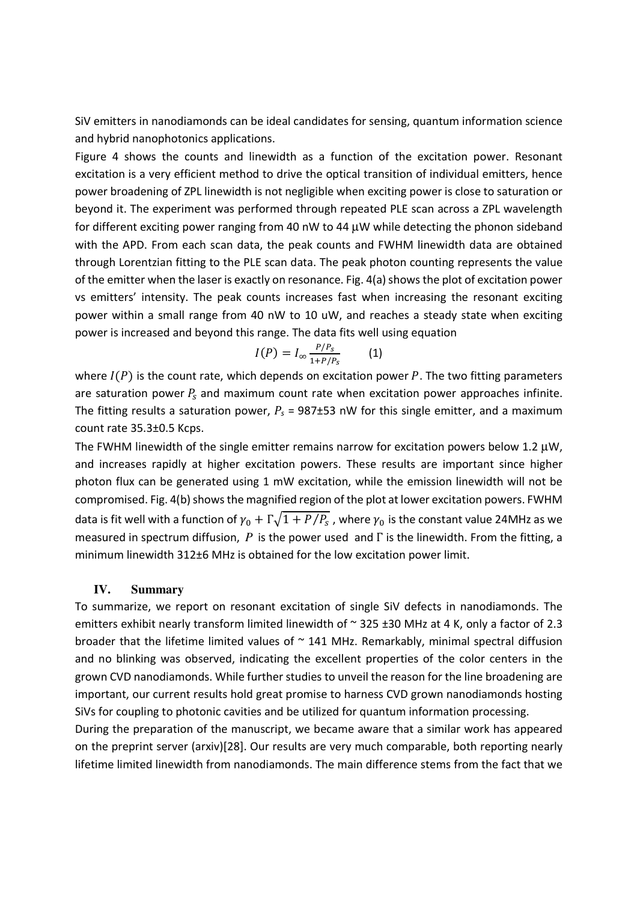SiV emitters in nanodiamonds can be ideal candidates for sensing, quantum information science and hybrid nanophotonics applications.

Figure 4 shows the counts and linewidth as a function of the excitation power. Resonant excitation is a very efficient method to drive the optical transition of individual emitters, hence power broadening of ZPL linewidth is not negligible when exciting power is close to saturation or beyond it. The experiment was performed through repeated PLE scan across a ZPL wavelength for different exciting power ranging from 40 nW to 44 µW while detecting the phonon sideband with the APD. From each scan data, the peak counts and FWHM linewidth data are obtained through Lorentzian fitting to the PLE scan data. The peak photon counting represents the value of the emitter when the laser is exactly on resonance. Fig. 4(a) shows the plot of excitation power vs emitters' intensity. The peak counts increases fast when increasing the resonant exciting power within a small range from 40 nW to 10 uW, and reaches a steady state when exciting power is increased and beyond this range. The data fits well using equation

$$
I(P) = I_{\infty} \frac{P/P_s}{1 + P/P_s} \qquad (1)
$$

where  $I(P)$  is the count rate, which depends on excitation power P. The two fitting parameters are saturation power  $P_s$  and maximum count rate when excitation power approaches infinite. The fitting results a saturation power,  $P_s = 987\pm53$  nW for this single emitter, and a maximum count rate 35.3±0.5 Kcps.

The FWHM linewidth of the single emitter remains narrow for excitation powers below 1.2  $\mu$ W, and increases rapidly at higher excitation powers. These results are important since higher photon flux can be generated using 1 mW excitation, while the emission linewidth will not be compromised. Fig. 4(b) shows the magnified region of the plot at lower excitation powers. FWHM data is fit well with a function of  $\gamma_0+\Gamma\sqrt{1+P/P_{\rm s}}$  , where  $\gamma_0$  is the constant value 24MHz as we measured in spectrum diffusion, *P* is the power used and Γ is the linewidth. From the fitting, a minimum linewidth 312±6 MHz is obtained for the low excitation power limit.

### **IV. Summary**

To summarize, we report on resonant excitation of single SiV defects in nanodiamonds. The emitters exhibit nearly transform limited linewidth of  $\sim$  325 ±30 MHz at 4 K, only a factor of 2.3 broader that the lifetime limited values of  $\sim$  141 MHz. Remarkably, minimal spectral diffusion and no blinking was observed, indicating the excellent properties of the color centers in the grown CVD nanodiamonds. While further studies to unveil the reason for the line broadening are important, our current results hold great promise to harness CVD grown nanodiamonds hosting SiVs for coupling to photonic cavities and be utilized for quantum information processing.

During the preparation of the manuscript, we became aware that a similar work has appeared on the preprint server (arxiv)[28]. Our results are very much comparable, both reporting nearly lifetime limited linewidth from nanodiamonds. The main difference stems from the fact that we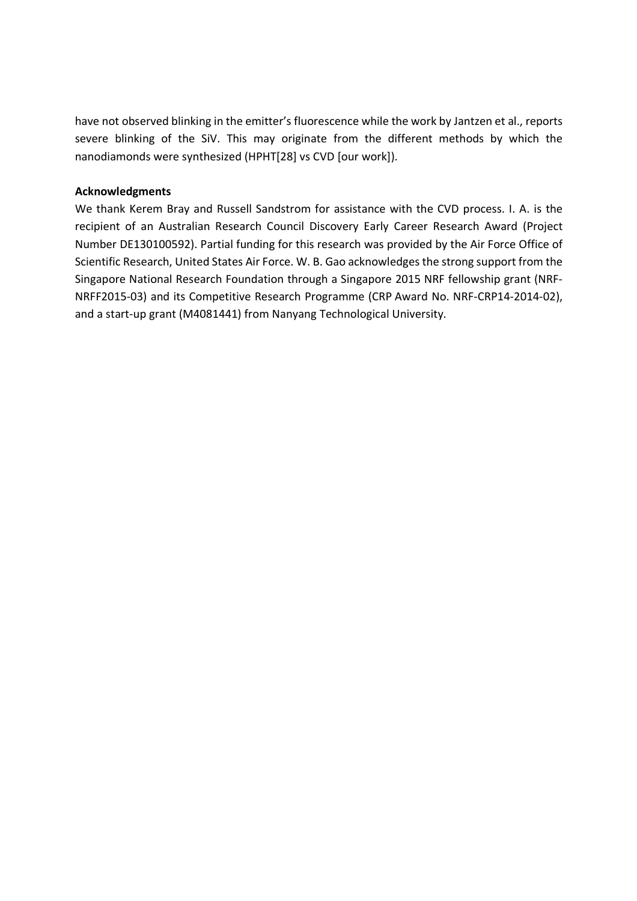have not observed blinking in the emitter's fluorescence while the work by Jantzen et al., reports severe blinking of the SiV. This may originate from the different methods by which the nanodiamonds were synthesized (HPHT[28] vs CVD [our work]).

## Acknowledgments

We thank Kerem Bray and Russell Sandstrom for assistance with the CVD process. I. A. is the recipient of an Australian Research Council Discovery Early Career Research Award (Project Number DE130100592). Partial funding for this research was provided by the Air Force Office of Scientific Research, United States Air Force. W. B. Gao acknowledges the strong support from the Singapore National Research Foundation through a Singapore 2015 NRF fellowship grant (NRF-NRFF2015-03) and its Competitive Research Programme (CRP Award No. NRF-CRP14-2014-02), and a start-up grant (M4081441) from Nanyang Technological University.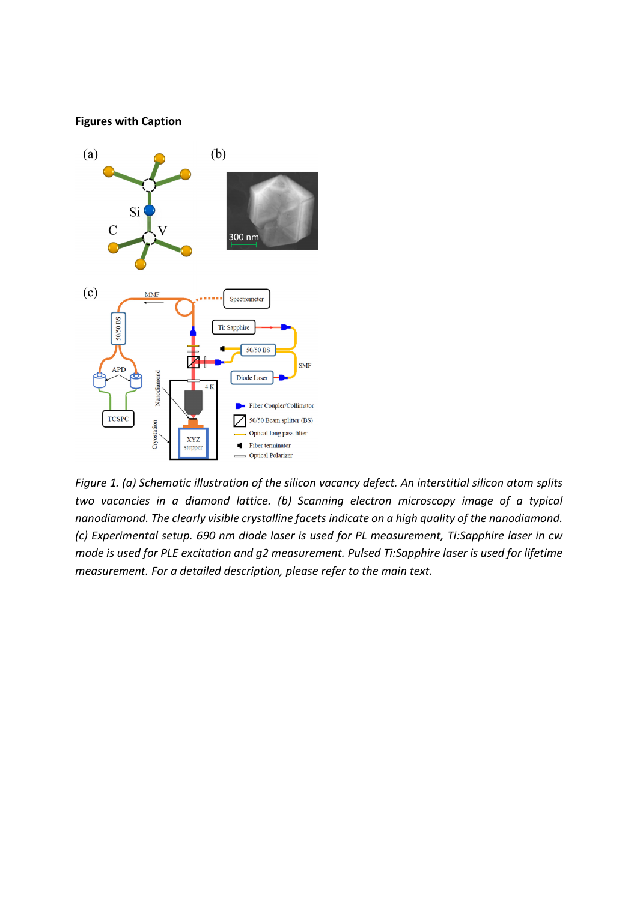#### Figures with Caption



Figure 1. (a) Schematic illustration of the silicon vacancy defect. An interstitial silicon atom splits two vacancies in a diamond lattice. (b) Scanning electron microscopy image of a typical nanodiamond. The clearly visible crystalline facets indicate on a high quality of the nanodiamond. (c) Experimental setup. 690 nm diode laser is used for PL measurement, Ti:Sapphire laser in cw mode is used for PLE excitation and g2 measurement. Pulsed Ti:Sapphire laser is used for lifetime measurement. For a detailed description, please refer to the main text.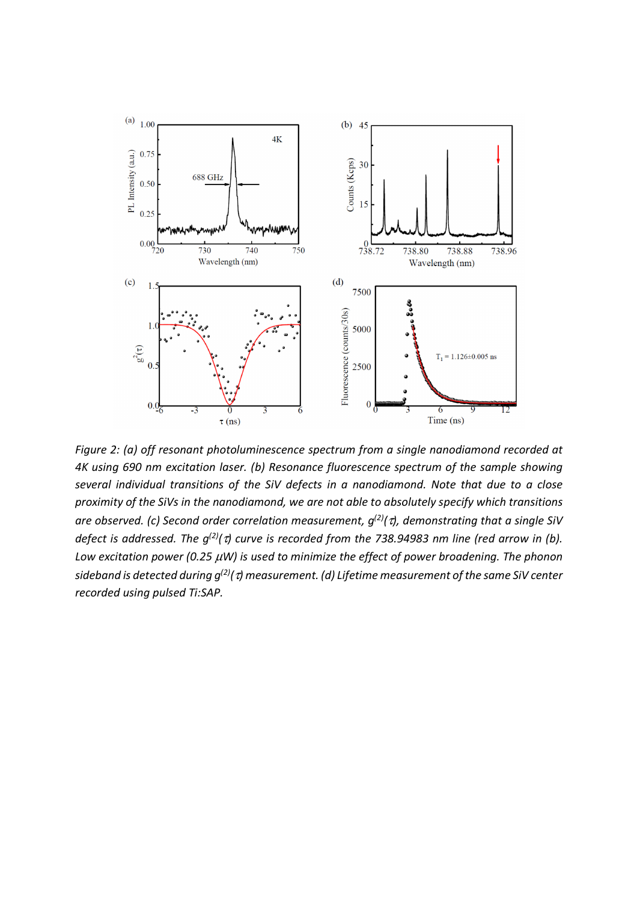

Figure 2: (a) off resonant photoluminescence spectrum from a single nanodiamond recorded at 4K using 690 nm excitation laser. (b) Resonance fluorescence spectrum of the sample showing several individual transitions of the SiV defects in a nanodiamond. Note that due to a close proximity of the SiVs in the nanodiamond, we are not able to absolutely specify which transitions are observed. (c) Second order correlation measurement,  $g^{(2)}(\tau)$ , demonstrating that a single SiV defect is addressed. The  $g^{(2)}(\tau)$  curve is recorded from the 738.94983 nm line (red arrow in (b). Low excitation power (0.25  $\mu$ W) is used to minimize the effect of power broadening. The phonon sideband is detected during  $g^{(2)}(\tau)$  measurement. (d) Lifetime measurement of the same SiV center recorded using pulsed Ti:SAP.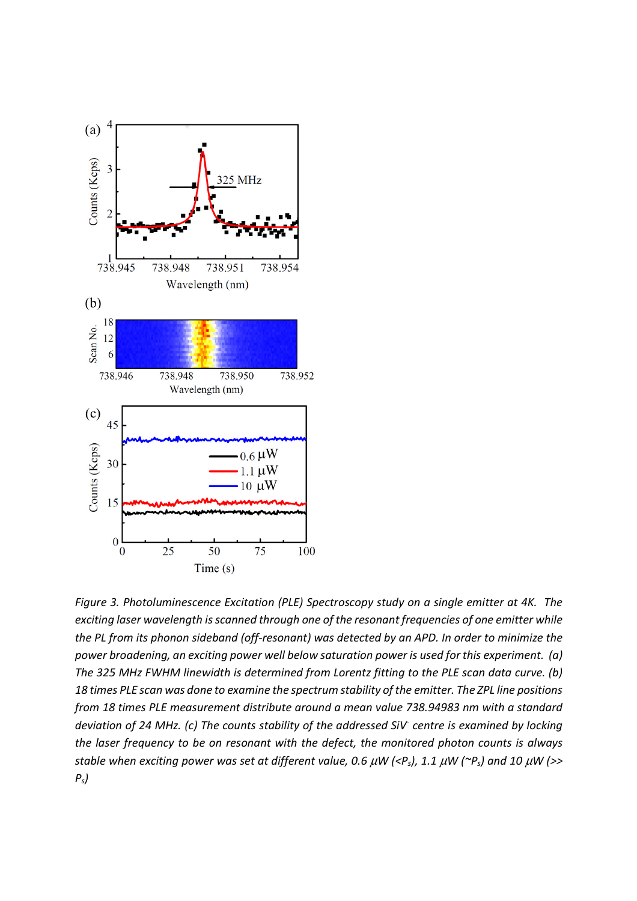

Figure 3. Photoluminescence Excitation (PLE) Spectroscopy study on a single emitter at 4K. The exciting laser wavelength is scanned through one of the resonant frequencies of one emitter while the PL from its phonon sideband (off-resonant) was detected by an APD. In order to minimize the power broadening, an exciting power well below saturation power is used for this experiment. (a) The 325 MHz FWHM linewidth is determined from Lorentz fitting to the PLE scan data curve. (b) 18 times PLE scan was done to examine the spectrum stability of the emitter. The ZPL line positions from 18 times PLE measurement distribute around a mean value 738.94983 nm with a standard deviation of 24 MHz. (c) The counts stability of the addressed SiV- centre is examined by locking the laser frequency to be on resonant with the defect, the monitored photon counts is always stable when exciting power was set at different value, 0.6  $\mu$ W (<P<sub>s</sub>), 1.1  $\mu$ W ( $\sim$ P<sub>s</sub>) and 10  $\mu$ W (>>  $P<sub>s</sub>$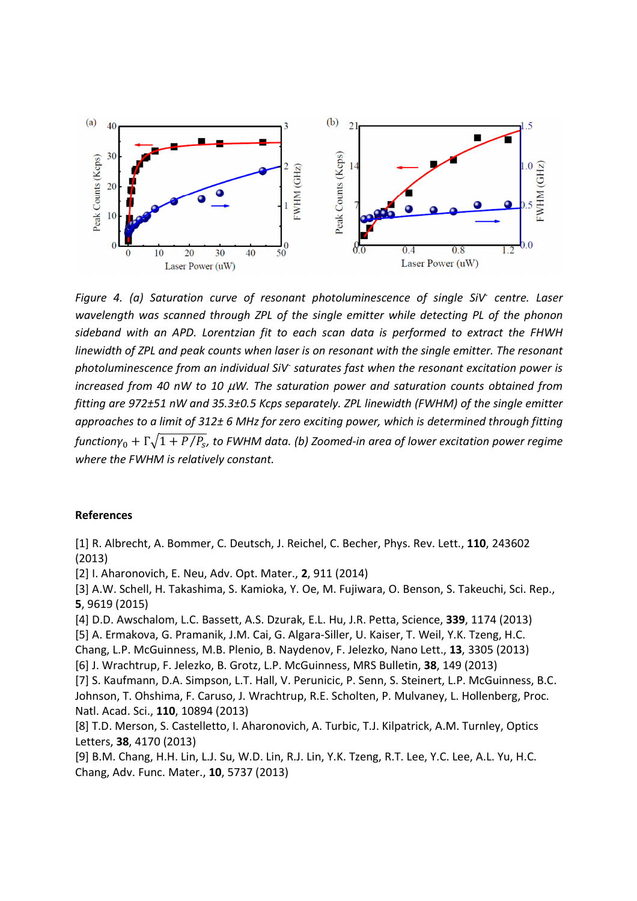

Figure 4. (a) Saturation curve of resonant photoluminescence of single SiV centre. Laser wavelength was scanned through ZPL of the single emitter while detecting PL of the phonon sideband with an APD. Lorentzian fit to each scan data is performed to extract the FHWH linewidth of ZPL and peak counts when laser is on resonant with the single emitter. The resonant photoluminescence from an individual SiV<sup>-</sup> saturates fast when the resonant excitation power is increased from 40 nW to 10  $\mu$ W. The saturation power and saturation counts obtained from fitting are 972±51 nW and 35.3±0.5 Kcps separately. ZPL linewidth (FWHM) of the single emitter approaches to a limit of 312± 6 MHz for zero exciting power, which is determined through fitting function $\gamma_0+\Gamma\sqrt{1+P/P_{\!s}}$ , to FWHM data. (b) Zoomed-in area of lower excitation power regime where the FWHM is relatively constant.

### References

[1] R. Albrecht, A. Bommer, C. Deutsch, J. Reichel, C. Becher, Phys. Rev. Lett., 110, 243602 (2013) [2] I. Aharonovich, E. Neu, Adv. Opt. Mater., 2, 911 (2014) [3] A.W. Schell, H. Takashima, S. Kamioka, Y. Oe, M. Fujiwara, O. Benson, S. Takeuchi, Sci. Rep., 5, 9619 (2015) [4] D.D. Awschalom, L.C. Bassett, A.S. Dzurak, E.L. Hu, J.R. Petta, Science, 339, 1174 (2013) [5] A. Ermakova, G. Pramanik, J.M. Cai, G. Algara-Siller, U. Kaiser, T. Weil, Y.K. Tzeng, H.C. Chang, L.P. McGuinness, M.B. Plenio, B. Naydenov, F. Jelezko, Nano Lett., 13, 3305 (2013) [6] J. Wrachtrup, F. Jelezko, B. Grotz, L.P. McGuinness, MRS Bulletin, 38, 149 (2013) [7] S. Kaufmann, D.A. Simpson, L.T. Hall, V. Perunicic, P. Senn, S. Steinert, L.P. McGuinness, B.C. Johnson, T. Ohshima, F. Caruso, J. Wrachtrup, R.E. Scholten, P. Mulvaney, L. Hollenberg, Proc. Natl. Acad. Sci., 110, 10894 (2013) [8] T.D. Merson, S. Castelletto, I. Aharonovich, A. Turbic, T.J. Kilpatrick, A.M. Turnley, Optics Letters, 38, 4170 (2013) [9] B.M. Chang, H.H. Lin, L.J. Su, W.D. Lin, R.J. Lin, Y.K. Tzeng, R.T. Lee, Y.C. Lee, A.L. Yu, H.C. Chang, Adv. Func. Mater., 10, 5737 (2013)